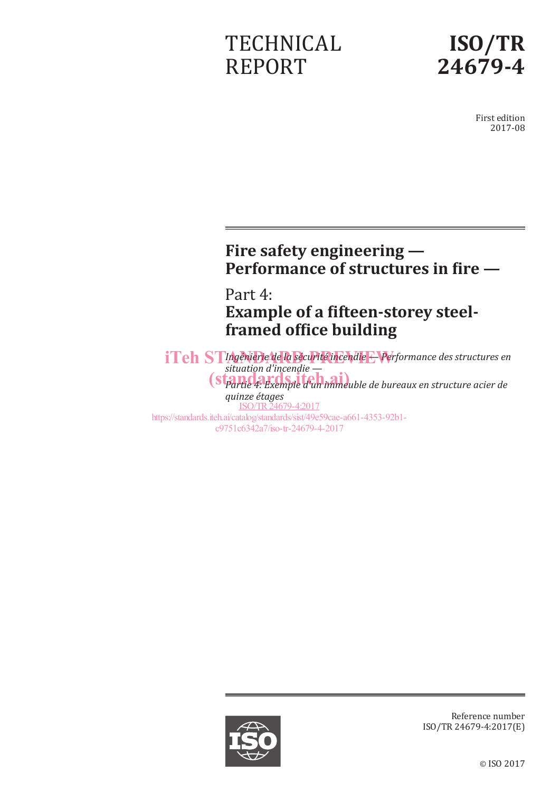# **TECHNICAL** REPORT



First edition 2017-08

# **Fire safety engineering — Performance of structures in fire —**

Part 4:

# **Example of a fifteen-storey steelframed office building**

*ITeh STIngénierie de la sécurité incendie + Performance des structures en situation d'incendie — Partie 4: Exemple d'un immeuble de bureaux en structure acier de quinze étages* ISO/TR24679-4:2017 https://standards.iteh.ai/catalog/standards/sist/49e59cae-a661-4353-92b1 c9751c6342a7/iso-tr-24679-4-2017



Reference number ISO/TR 24679-4:2017(E)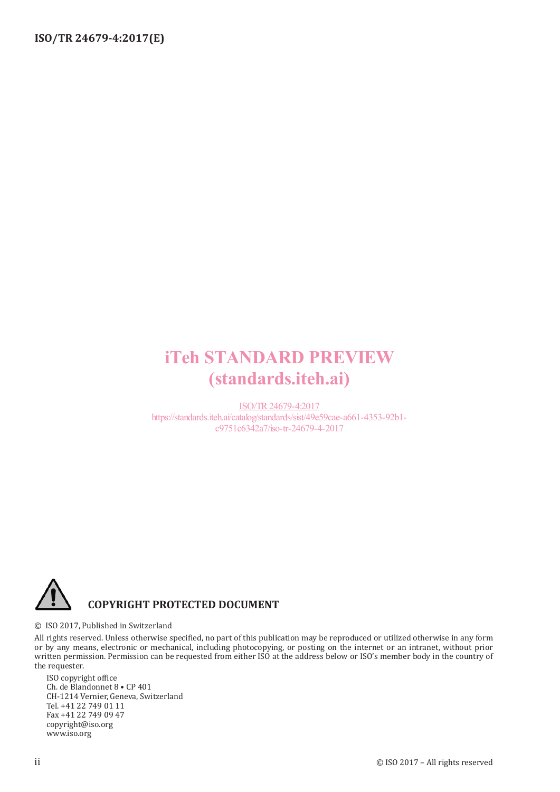# iTeh STANDARD PREVIEW (standards.iteh.ai)

ISO/TR24679-4:2017 https://standards.iteh.ai/catalog/standards/sist/49e59cae-a661-4353-92b1 c9751c6342a7/iso-tr-24679-4-2017



#### © ISO 2017, Published in Switzerland

All rights reserved. Unless otherwise specified, no part of this publication may be reproduced or utilized otherwise in any form or by any means, electronic or mechanical, including photocopying, or posting on the internet or an intranet, without prior written permission. Permission can be requested from either ISO at the address below or ISO's member body in the country of the requester.

ISO copyright office Ch. de Blandonnet 8 • CP 401 CH-1214 Vernier, Geneva, Switzerland Tel. +41 22 749 01 11 Fax +41 22 749 09 47 copyright@iso.org www.iso.org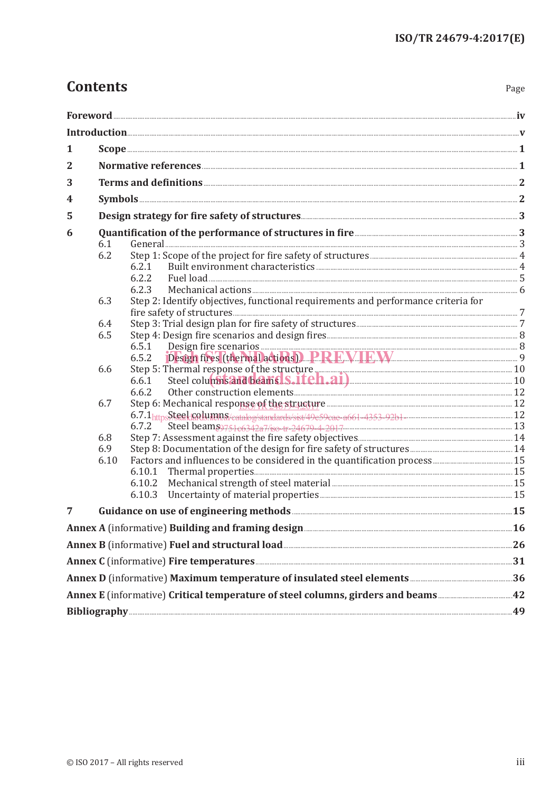# **Contents**

| . .<br>×<br>۰,<br>× |
|---------------------|
|---------------------|

| 1 |                                                                                     |                                                                                                                                                                                                                                      |  |  |  |  |
|---|-------------------------------------------------------------------------------------|--------------------------------------------------------------------------------------------------------------------------------------------------------------------------------------------------------------------------------------|--|--|--|--|
| 2 |                                                                                     |                                                                                                                                                                                                                                      |  |  |  |  |
| 3 |                                                                                     |                                                                                                                                                                                                                                      |  |  |  |  |
|   |                                                                                     |                                                                                                                                                                                                                                      |  |  |  |  |
| 4 |                                                                                     |                                                                                                                                                                                                                                      |  |  |  |  |
| 5 |                                                                                     |                                                                                                                                                                                                                                      |  |  |  |  |
| 6 | Quantification of the performance of structures in fire <b>Community</b> 2014 10:43 |                                                                                                                                                                                                                                      |  |  |  |  |
|   | 6.1<br>6.2                                                                          |                                                                                                                                                                                                                                      |  |  |  |  |
|   |                                                                                     | 6.2.1                                                                                                                                                                                                                                |  |  |  |  |
|   |                                                                                     | 6.2.2                                                                                                                                                                                                                                |  |  |  |  |
|   |                                                                                     | 6.2.3                                                                                                                                                                                                                                |  |  |  |  |
|   | 6.3                                                                                 | Step 2: Identify objectives, functional requirements and performance criteria for                                                                                                                                                    |  |  |  |  |
|   |                                                                                     |                                                                                                                                                                                                                                      |  |  |  |  |
|   | 6.4                                                                                 |                                                                                                                                                                                                                                      |  |  |  |  |
|   | 6.5                                                                                 |                                                                                                                                                                                                                                      |  |  |  |  |
|   |                                                                                     | 6.5.1                                                                                                                                                                                                                                |  |  |  |  |
|   |                                                                                     | Design fire scenarios<br>Design fires (thermal actions) PREVIEW 19<br>6.5.2                                                                                                                                                          |  |  |  |  |
|   | 6.6                                                                                 |                                                                                                                                                                                                                                      |  |  |  |  |
|   |                                                                                     | Step 5: Thermal response of the structure<br>6.6.1 Steel columns and beams S. Iteh.ai) 10                                                                                                                                            |  |  |  |  |
|   |                                                                                     | 6.6.2                                                                                                                                                                                                                                |  |  |  |  |
|   | 6.7                                                                                 | Step 6: Mechanical response of the structure <b>Commission Contract 22</b>                                                                                                                                                           |  |  |  |  |
|   |                                                                                     |                                                                                                                                                                                                                                      |  |  |  |  |
|   |                                                                                     | 6.7.2                                                                                                                                                                                                                                |  |  |  |  |
|   | 6.8                                                                                 |                                                                                                                                                                                                                                      |  |  |  |  |
|   | 6.9                                                                                 |                                                                                                                                                                                                                                      |  |  |  |  |
|   | 6.10                                                                                |                                                                                                                                                                                                                                      |  |  |  |  |
|   |                                                                                     |                                                                                                                                                                                                                                      |  |  |  |  |
|   |                                                                                     | 6.10.2                                                                                                                                                                                                                               |  |  |  |  |
|   |                                                                                     | 6.10.3                                                                                                                                                                                                                               |  |  |  |  |
| 7 |                                                                                     | Guidance on use of engineering methods <b>Election Contract Contract Contract Contract Contract Contract Contract Contract Contract Contract Contract Contract Contract Contract Contract Contract Contract Contract Contract Co</b> |  |  |  |  |
|   |                                                                                     | Annex A (informative) Building and framing design <b>Engineering and Framing 16</b>                                                                                                                                                  |  |  |  |  |
|   |                                                                                     |                                                                                                                                                                                                                                      |  |  |  |  |
|   |                                                                                     |                                                                                                                                                                                                                                      |  |  |  |  |
|   |                                                                                     |                                                                                                                                                                                                                                      |  |  |  |  |
|   |                                                                                     |                                                                                                                                                                                                                                      |  |  |  |  |
|   |                                                                                     |                                                                                                                                                                                                                                      |  |  |  |  |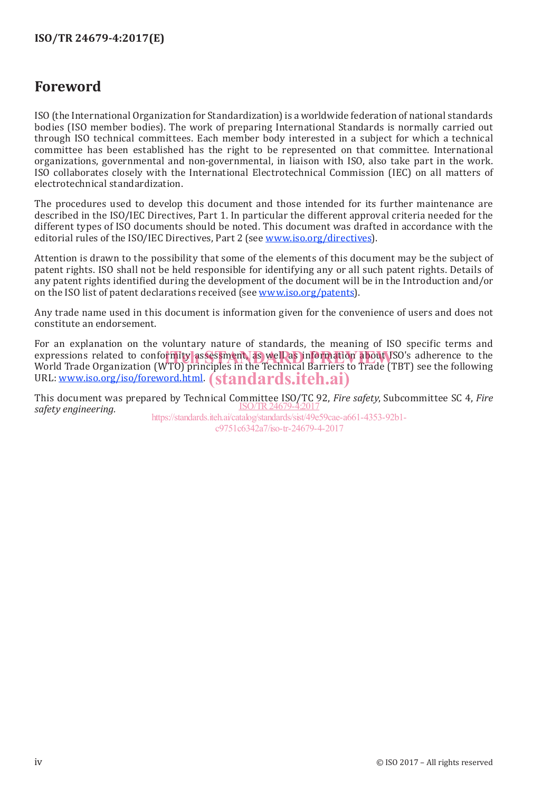# **Foreword**

ISO (the International Organization for Standardization) is a worldwide federation of national standards bodies (ISO member bodies). The work of preparing International Standards is normally carried out through ISO technical committees. Each member body interested in a subject for which a technical committee has been established has the right to be represented on that committee. International organizations, governmental and non-governmental, in liaison with ISO, also take part in the work. ISO collaborates closely with the International Electrotechnical Commission (IEC) on all matters of electrotechnical standardization.

The procedures used to develop this document and those intended for its further maintenance are described in the ISO/IEC Directives, Part 1. In particular the different approval criteria needed for the different types of ISO documents should be noted. This document was drafted in accordance with the editorial rules of the ISO/IEC Directives, Part 2 (see www.iso.org/directives).

Attention is drawn to the possibility that some of the elements of this document may be the subject of patent rights. ISO shall not be held responsible for identifying any or all such patent rights. Details of any patent rights identified during the development of the document will be in the Introduction and/or on the ISO list of patent declarations received (see www.iso.org/patents).

Any trade name used in this document is information given for the convenience of users and does not constitute an endorsement.

For an explanation on the voluntary nature of standards, the meaning of ISO specific terms and expressions related to conformity assessment, as well as information about ISO's adherence to the<br>World Trade Organization (WTO) principles in the Technical Barriers to Trade (TBT) see the following World Trade Organization (WTO) principles in the Technical Barriers to Trade (TBT) see the following URL: <u>www.iso.org/iso/foreword.html</u>. (standards.iteh.ai)

This document was prepared by Technical Committee ISO/TC 92, *Fire safety*, Subcommittee SC 4, *Fire safety engineering.* ISO/TR24679-4:2017

https://standards.iteh.ai/catalog/standards/sist/49e59cae-a661-4353-92b1 c9751c6342a7/iso-tr-24679-4-2017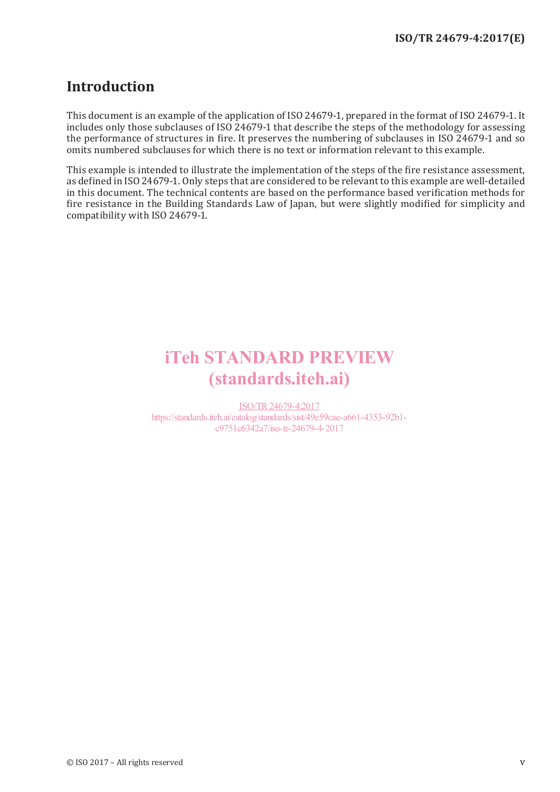# **Introduction**

This document is an example of the application of ISO 24679-1, prepared in the format of ISO 24679-1. It includes only those subclauses of ISO 24679-1 that describe the steps of the methodology for assessing the performance of structures in fire. It preserves the numbering of subclauses in ISO 24679-1 and so omits numbered subclauses for which there is no text or information relevant to this example.

This example is intended to illustrate the implementation of the steps of the fire resistance assessment, as defined in ISO 24679-1. Only steps that are considered to be relevant to this example are well-detailed in this document. The technical contents are based on the performance based verification methods for fire resistance in the Building Standards Law of Japan, but were slightly modified for simplicity and compatibility with ISO 24679-1.

# iTeh STANDARD PREVIEW (standards.iteh.ai)

ISO/TR24679-4:2017 https://standards.iteh.ai/catalog/standards/sist/49e59cae-a661-4353-92b1 c9751c6342a7/iso-tr-24679-4-2017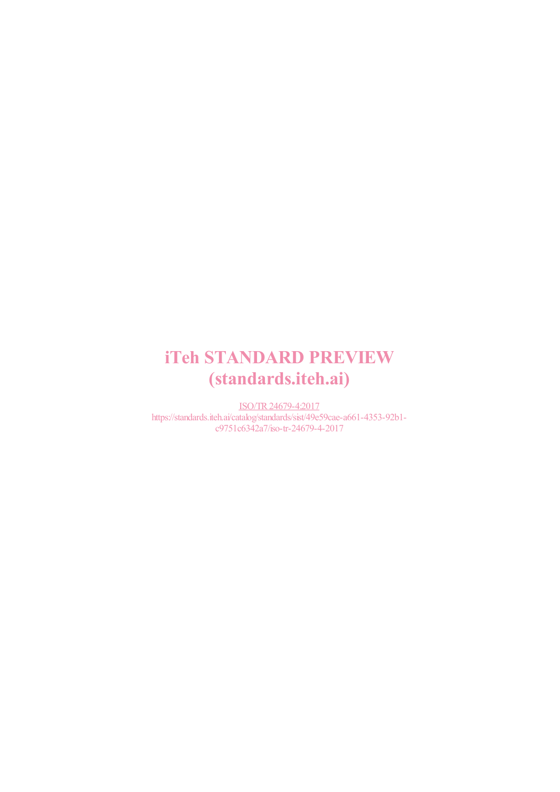# iTeh STANDARD PREVIEW (standards.iteh.ai)

ISO/TR24679-4:2017 https://standards.iteh.ai/catalog/standards/sist/49e59cae-a661-4353-92b1 c9751c6342a7/iso-tr-24679-4-2017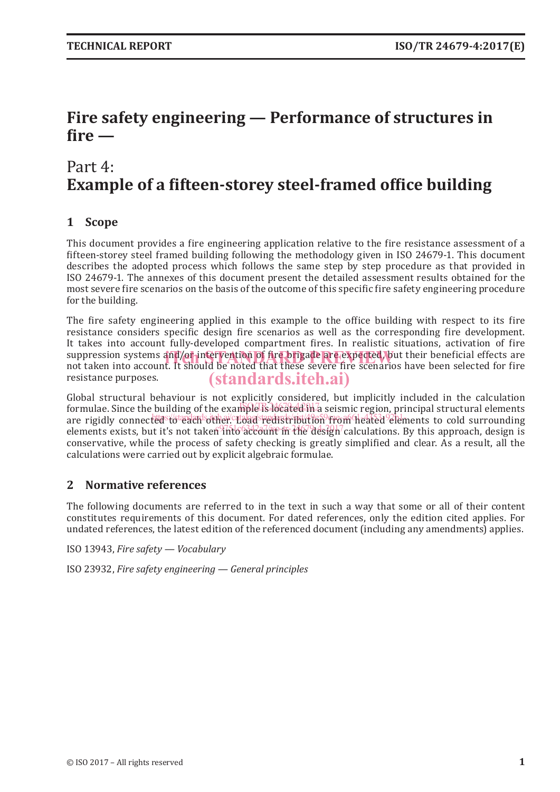# **Fire safety engineering — Performance of structures in fire —**

# Part 4: **Example of a fifteen-storey steel-framed office building**

# **1 Scope**

This document provides a fire engineering application relative to the fire resistance assessment of a fifteen-storey steel framed building following the methodology given in ISO 24679-1. This document describes the adopted process which follows the same step by step procedure as that provided in ISO 24679-1. The annexes of this document present the detailed assessment results obtained for the most severe fire scenarios on the basis of the outcome of this specific fire safety engineering procedure for the building.

The fire safety engineering applied in this example to the office building with respect to its fire resistance considers specific design fire scenarios as well as the corresponding fire development. It takes into account fully-developed compartment fires. In realistic situations, activation of fire suppression systems and/or intervention of fire brigade are expected, but their beneficial effects are<br>not taken into account. It should be noted that these severe fire scenarios have been selected for fire not taken into account. It should be noted that these severe fire scenarios have been selected for fire resistance purposes. (standards.iteh.ai)

Global structural behaviour is not explicitly considered, but implicitly included in the calculation formulae. Since the building of the example  $\mathbb{R}$  10  $\mathbb{R}$  a seismic region, principal structural elements are rigidly connected to each other tradition from the redistribution from the redistribution of the redistribution of the redistribution of the redistribution of the redistribution of the redistribution of the redistribut elements exists, but it's not taken into account in the design calculations. By this approach, design is conservative, while the process of safety checking is greatly simplified and clear. As a result, all the calculations were carried out by explicit algebraic formulae.

# **2 Normative references**

The following documents are referred to in the text in such a way that some or all of their content constitutes requirements of this document. For dated references, only the edition cited applies. For undated references, the latest edition of the referenced document (including any amendments) applies.

ISO 13943, *Fire safety — Vocabulary*

ISO 23932, *Fire safety engineering — General principles*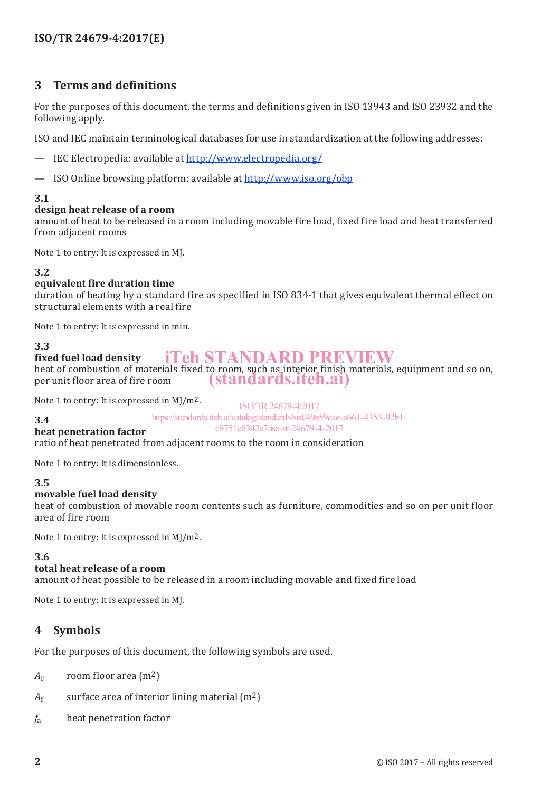# **3 Terms and definitions**

For the purposes of this document, the terms and definitions given in ISO 13943 and ISO 23932 and the following apply.

ISO and IEC maintain terminological databases for use in standardization at the following addresses:

- IEC Electropedia: available at http://www.electropedia.org/
- ISO Online browsing platform: available at http://www.iso.org/obp

#### **3.1**

#### **design heat release of a room**

amount of heat to be released in a room including movable fire load, fixed fire load and heat transferred from adjacent rooms

Note 1 to entry: It is expressed in MJ.

#### **3.2**

#### **equivalent fire duration time**

duration of heating by a standard fire as specified in ISO 834-1 that gives equivalent thermal effect on structural elements with a real fire

Note 1 to entry: It is expressed in min.

#### **3.3**

#### **fixed fuel load density** iTeh STANDARD PREVIEW

heat of combustion of materials fixed to room, such as interior finish materials, equipment and so on, per unit floor area of fire room (standards.iteh.ai)

Note 1 to entry: It is expressed in MJ/m2.

ISO/TR24679-4:2017

https://standards.iteh.ai/catalog/standards/sist/49e59cae-a661-4353-92b1 c9751c6342a7/iso-tr-24679-4-2017

#### **heat penetration factor**

ratio of heat penetrated from adjacent rooms to the room in consideration

Note 1 to entry: It is dimensionless.

#### **3.5**

**3.4**

#### **movable fuel load density**

heat of combustion of movable room contents such as furniture, commodities and so on per unit floor area of fire room

Note 1 to entry: It is expressed in MJ/m2.

## **3.6**

## **total heat release of a room**

amount of heat possible to be released in a room including movable and fixed fire load

Note 1 to entry: It is expressed in MJ.

# **4 Symbols**

For the purposes of this document, the following symbols are used.

- *A*<sup>r</sup> room floor area (m2)
- $A_f$  surface area of interior lining material  $(m^2)$
- *f*<sup>a</sup> heat penetration factor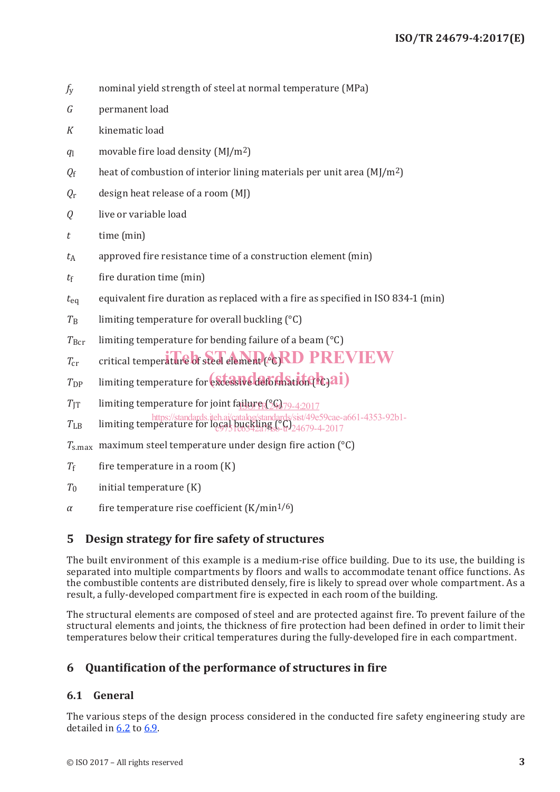- *f*<sup>y</sup> nominal yield strength of steel at normal temperature (MPa)
- *G* permanent load
- *K* kinematic load
- *q*<sup>l</sup> movable fire load density (MJ/m2)
- $Q_f$  heat of combustion of interior lining materials per unit area  $(M1/m^2)$
- *Q*<sup>r</sup> design heat release of a room (MJ)
- *Q* live or variable load
- *t* time (min)
- *t*<sup>A</sup> approved fire resistance time of a construction element (min)
- *t*<sup>f</sup> fire duration time (min)
- *t*eq equivalent fire duration as replaced with a fire as specified in ISO 834-1 (min)
- $T_{\rm B}$  limiting temperature for overall buckling  $({}^{\circ}{\rm C})$
- $T_{\text{Bcr}}$  limiting temperature for bending failure of a beam  $(^{\circ}C)$
- T<sub>cr</sub> critical temperature of steel element (°C) RD PREVIEW
- $T_{\text{DP}}$  limiting temperature for excessive deformation (*b*c) ai)
- *T*<sub>JT</sub> limiting temperature for joint failure (24) 79-4:2017
- *TLB* limiting temperature for local buckling (°C)<sub>24679-4-2017</sub><br>TLB limiting temperature for local buckling (°C)<sub>24679-4-2017</sub>
- <u>c975Jc6342a79so-tr</u>-24679-4-2017
- *T*s.max maximum steel temperature under design fire action (°C)
- $T_f$  fire temperature in a room  $(K)$
- *T*<sup>0</sup> initial temperature (K)
- *α* fire temperature rise coefficient  $(K/min^{1/6})$

# **5 Design strategy for fire safety of structures**

The built environment of this example is a medium-rise office building. Due to its use, the building is separated into multiple compartments by floors and walls to accommodate tenant office functions. As the combustible contents are distributed densely, fire is likely to spread over whole compartment. As a result, a fully-developed compartment fire is expected in each room of the building.

The structural elements are composed of steel and are protected against fire. To prevent failure of the structural elements and joints, the thickness of fire protection had been defined in order to limit their temperatures below their critical temperatures during the fully-developed fire in each compartment.

# **6 Quantification of the performance of structures in fire**

## **6.1 General**

The various steps of the design process considered in the conducted fire safety engineering study are detailed in 6.2 to 6.9.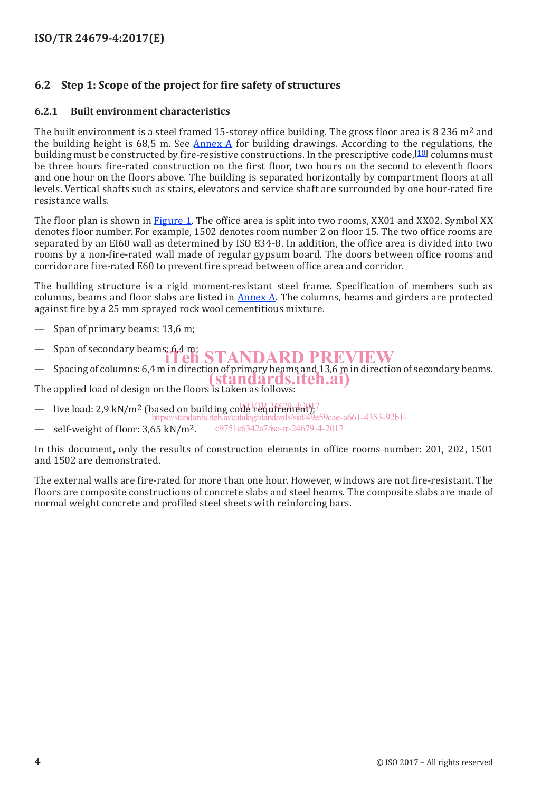## **6.2 Step 1: Scope of the project for fire safety of structures**

### **6.2.1 Built environment characteristics**

The built environment is a steel framed 15-storey office building. The gross floor area is 8 236 m2 and the building height is 68,5 m. See Annex A for building drawings. According to the regulations, the building must be constructed by fire-resistive constructions. In the prescriptive code,[10] columns must be three hours fire-rated construction on the first floor, two hours on the second to eleventh floors and one hour on the floors above. The building is separated horizontally by compartment floors at all levels. Vertical shafts such as stairs, elevators and service shaft are surrounded by one hour-rated fire resistance walls.

The floor plan is shown in Figure 1. The office area is split into two rooms, XX01 and XX02. Symbol XX denotes floor number. For example, 1502 denotes room number 2 on floor 15. The two office rooms are separated by an EI60 wall as determined by ISO 834-8. In addition, the office area is divided into two rooms by a non-fire-rated wall made of regular gypsum board. The doors between office rooms and corridor are fire-rated E60 to prevent fire spread between office area and corridor.

The building structure is a rigid moment-resistant steel frame. Specification of members such as columns, beams and floor slabs are listed in Annex A. The columns, beams and girders are protected against fire by a 25 mm sprayed rock wool cementitious mixture.

- Span of primary beams: 13,6 m;
- Span of secondary beams: 6,4 m; **STANDARD PREVIEW**
- Spacing of columns: 6,4 m in direction of primary beams and 13,6 m in direction of secondary beams.
- (standards.iteh.ai)

The applied load of design on the floors is taken as follows:

- $-$  live load: 2,9 kN/m<sup>2</sup> (based on building code requirement);
- https://standards.iteh.ai/catalog/standards/sist/49e59cae-a661-4353-92b1-
- self-weight of floor: 3.65 kN/m<sup>2</sup>. c9751c6342a7/iso-tr-24679-4-2017

In this document, only the results of construction elements in office rooms number: 201, 202, 1501 and 1502 are demonstrated.

The external walls are fire-rated for more than one hour. However, windows are not fire-resistant. The floors are composite constructions of concrete slabs and steel beams. The composite slabs are made of normal weight concrete and profiled steel sheets with reinforcing bars.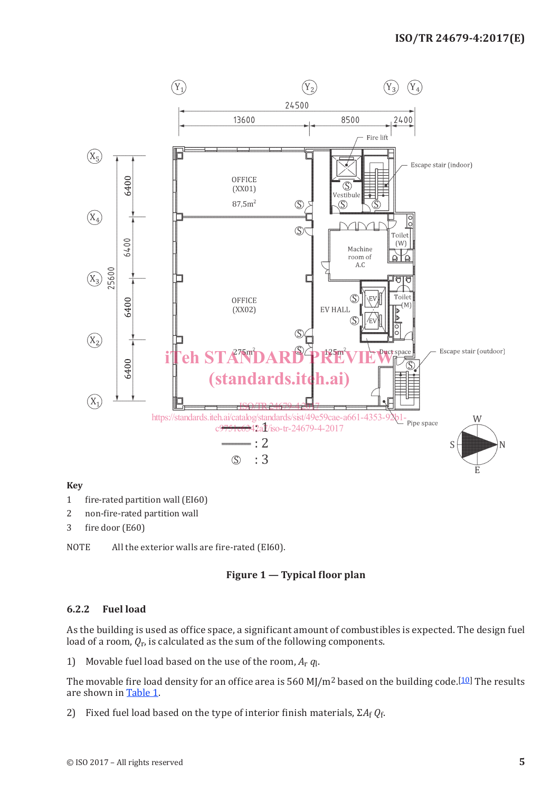## **ISO/TR 24679-4:2017(E)**



#### **Key**

- 1 fire-rated partition wall (EI60)
- 2 non-fire-rated partition wall
- 3 fire door (E60)

NOTE All the exterior walls are fire-rated (EI60).

#### **Figure 1 — Typical floor plan**

#### **6.2.2 Fuel load**

As the building is used as office space, a significant amount of combustibles is expected. The design fuel load of a room, *Q*r, is calculated as the sum of the following components.

1) Movable fuel load based on the use of the room, *A*<sup>r</sup> *q*l.

The movable fire load density for an office area is 560 MJ/m<sup>2</sup> based on the building code.<sup>[10]</sup> The results are shown in Table 1.

2) Fixed fuel load based on the type of interior finish materials, Σ*A*<sup>f</sup> *Q*f.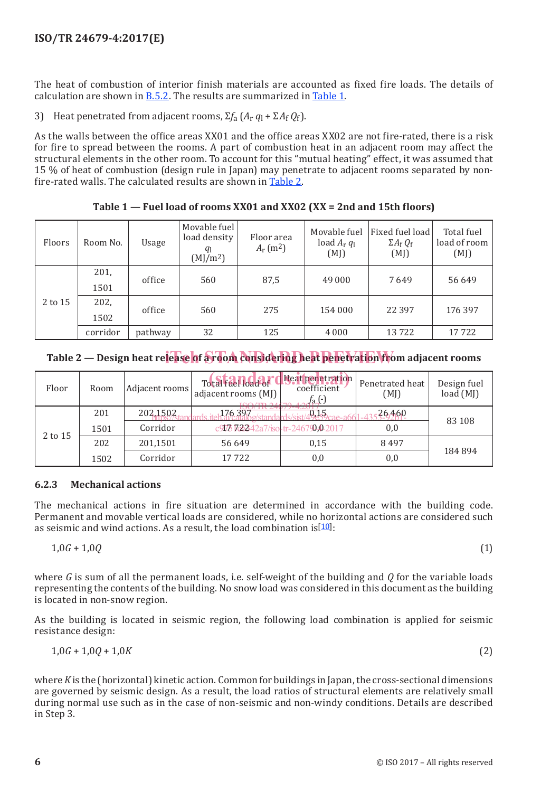The heat of combustion of interior finish materials are accounted as fixed fire loads. The details of calculation are shown in  $B.5.2$ . The results are summarized in Table 1.

3) Heat penetrated from adjacent rooms, Σ*f*a (*A*<sup>r</sup> *q*<sup>l</sup> + Σ*A*<sup>f</sup> *Q*f).

As the walls between the office areas XX01 and the office areas XX02 are not fire-rated, there is a risk for fire to spread between the rooms. A part of combustion heat in an adjacent room may affect the structural elements in the other room. To account for this "mutual heating" effect, it was assumed that 15 % of heat of combustion (design rule in Japan) may penetrate to adjacent rooms separated by nonfire-rated walls. The calculated results are shown in Table 2.

| Floors  | Room No.     | Usage   | Movable fuel<br>load density<br>q <sub>l</sub><br>(MJ/m <sup>2</sup> ) | Floor area<br>$A_{r}$ (m <sup>2</sup> ) | Movable fuel<br>load $A_{r}q_{l}$<br>(MJ) | Fixed fuel load<br>$\Sigma A_f Q_f$<br>(MJ) | Total fuel<br>load of room<br>(MJ) |
|---------|--------------|---------|------------------------------------------------------------------------|-----------------------------------------|-------------------------------------------|---------------------------------------------|------------------------------------|
| 2 to 15 | 201,<br>1501 | office  | 560                                                                    | 87,5                                    | 49 000                                    | 7649                                        | 56 649                             |
|         | 202,         | office  | 560                                                                    | 275                                     | 154 000                                   | 22 3 9 7                                    | 176 397                            |
|         | 1502         |         |                                                                        |                                         |                                           |                                             |                                    |
|         | corridor     | pathway | 32                                                                     | 125                                     | 4 0 0 0                                   | 13722                                       | 17722                              |

**Table 1 — Fuel load of rooms XX01 and XX02 (XX = 2nd and 15th floors)**

| Table 2 — Design heat release of a room considering heat penetration from adjacent rooms |  |
|------------------------------------------------------------------------------------------|--|
|------------------------------------------------------------------------------------------|--|

| Floor   | Room | Adjacent rooms | Total fuelload of<br>adjacent rooms (MJ) | <b>Heat penetration</b><br>coefficient<br>$f_{\rm a}(\cdot)$ | Penetrated heat<br>(MJ) | Design fuel<br>load(MI) |
|---------|------|----------------|------------------------------------------|--------------------------------------------------------------|-------------------------|-------------------------|
|         | 201  | 202,1502       | 176 397                                  | 0,15                                                         | 26460                   |                         |
|         | 1501 | Corridor       | c9176 1723 42a7/iso-tr-246790 42017      |                                                              | 0,0                     | 83 108                  |
| 2 to 15 | 202  | 201,1501       | 56 649                                   | 0.15                                                         | 8497                    |                         |
|         | 1502 | Corridor       | 17722                                    | 0,0                                                          | 0,0                     | 184894                  |

### **6.2.3 Mechanical actions**

The mechanical actions in fire situation are determined in accordance with the building code. Permanent and movable vertical loads are considered, while no horizontal actions are considered such as seismic and wind actions. As a result, the load combination is  $[10]$ :

$$
1.0G + 1.0Q \tag{1}
$$

where *G* is sum of all the permanent loads, i.e. self-weight of the building and *Q* for the variable loads representing the contents of the building. No snow load was considered in this document as the building is located in non-snow region.

As the building is located in seismic region, the following load combination is applied for seismic resistance design:

$$
1.0G + 1.0Q + 1.0K
$$
 (2)

where *K* is the (horizontal) kinetic action. Common for buildings in Japan, the cross-sectional dimensions are governed by seismic design. As a result, the load ratios of structural elements are relatively small during normal use such as in the case of non-seismic and non-windy conditions. Details are described in Step 3.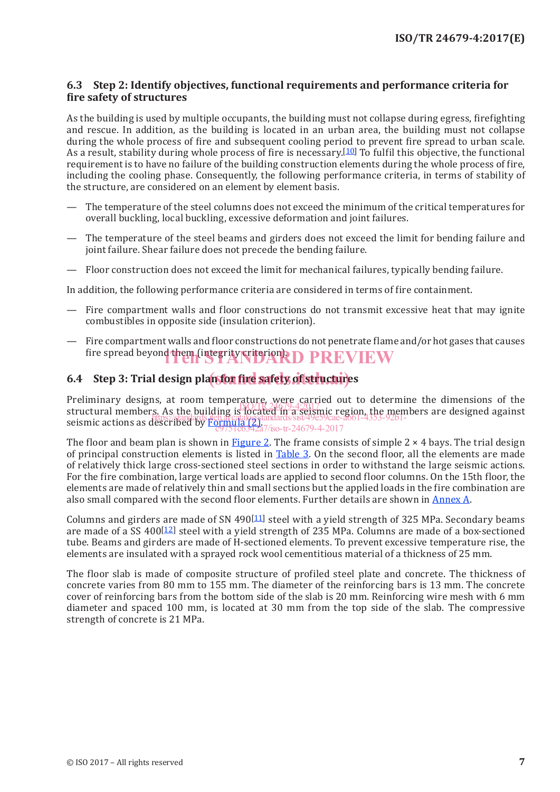### **6.3 Step 2: Identify objectives, functional requirements and performance criteria for fire safety of structures**

As the building is used by multiple occupants, the building must not collapse during egress, firefighting and rescue. In addition, as the building is located in an urban area, the building must not collapse during the whole process of fire and subsequent cooling period to prevent fire spread to urban scale. As a result, stability during whole process of fire is necessary.[10] To fulfil this objective, the functional requirement is to have no failure of the building construction elements during the whole process of fire, including the cooling phase. Consequently, the following performance criteria, in terms of stability of the structure, are considered on an element by element basis.

- The temperature of the steel columns does not exceed the minimum of the critical temperatures for overall buckling, local buckling, excessive deformation and joint failures.
- The temperature of the steel beams and girders does not exceed the limit for bending failure and joint failure. Shear failure does not precede the bending failure.
- Floor construction does not exceed the limit for mechanical failures, typically bending failure.

In addition, the following performance criteria are considered in terms of fire containment.

- Fire compartment walls and floor constructions do not transmit excessive heat that may ignite combustibles in opposite side (insulation criterion).
- Fire compartment walls and floor constructions do not penetrate flame and/or hot gases that causes fire spread beyond them (integrity criterion RD PREVIEW

# **6.4 Step 3: Trial design pla<mark>n for fire safety of</mark> structur**es

Preliminary designs, at room temperature, were carried out to determine the dimensions of the structural members. As the building is located in a seismic region, the members are designed against  $\frac{1}{2}$  structural members,  $\frac{1}{2}$  structural members,  $\frac{1}{2}$  structural members  $\frac{1}{2}$  structural members  $\$ seismic actions as described by Formula (3) Next the aislessive Personal (2001-4353-92b1-<br>seismic actions as described by Formula (2). 7/so-tr-24679-4-2017 c9751c6342a7/iso-tr-24679-4-2017

The floor and beam plan is shown in Figure 2. The frame consists of simple  $2 \times 4$  bays. The trial design of principal construction elements is listed in Table 3. On the second floor, all the elements are made of relatively thick large cross-sectioned steel sections in order to withstand the large seismic actions. For the fire combination, large vertical loads are applied to second floor columns. On the 15th floor, the elements are made of relatively thin and small sections but the applied loads in the fire combination are also small compared with the second floor elements. Further details are shown in Annex A.

Columns and girders are made of SN 490 $[11]$  steel with a yield strength of 325 MPa. Secondary beams are made of a SS  $400[12]$  steel with a vield strength of 235 MPa. Columns are made of a box-sectioned tube. Beams and girders are made of H-sectioned elements. To prevent excessive temperature rise, the elements are insulated with a sprayed rock wool cementitious material of a thickness of 25 mm.

The floor slab is made of composite structure of profiled steel plate and concrete. The thickness of concrete varies from 80 mm to 155 mm. The diameter of the reinforcing bars is 13 mm. The concrete cover of reinforcing bars from the bottom side of the slab is 20 mm. Reinforcing wire mesh with 6 mm diameter and spaced 100 mm, is located at 30 mm from the top side of the slab. The compressive strength of concrete is 21 MPa.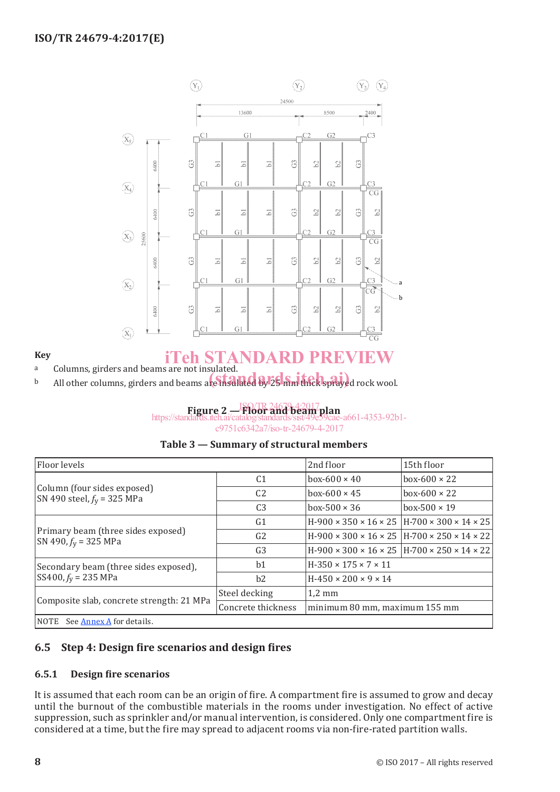

#### **Key**

# iTeh STANDARD PREVIEW

- a Columns, girders and beams are not insulated.
- de columns, girders and beams are not insulated.<br>
b All other columns, girders and beams are insulated by 25 mm thick sprayed rock wool.

#### **Figure 2 — Floor and beam plan** ISO/TR24679-4:2017 https://standards.iteh.ai/catalog/standards/sist/49e59cae-a661-4353-92b1-

c9751c6342a7/iso-tr-24679-4-2017

### **Table 3 — Summary of structural members**

| Floor levels                                                                                              |                    | 2nd floor                                                                                                                                                                                                                                                                                                                                                                  | 15th floor          |  |  |
|-----------------------------------------------------------------------------------------------------------|--------------------|----------------------------------------------------------------------------------------------------------------------------------------------------------------------------------------------------------------------------------------------------------------------------------------------------------------------------------------------------------------------------|---------------------|--|--|
|                                                                                                           | C <sub>1</sub>     | $box-600 \times 40$                                                                                                                                                                                                                                                                                                                                                        | $box-600 \times 22$ |  |  |
| Column (four sides exposed)<br>SN 490 steel, $f_v$ = 325 MPa<br>Composite slab, concrete strength: 21 MPa | C <sub>2</sub>     | $box-600 \times 45$                                                                                                                                                                                                                                                                                                                                                        | $box-600 \times 22$ |  |  |
|                                                                                                           | C <sub>3</sub>     | $box-500 \times 36$                                                                                                                                                                                                                                                                                                                                                        | $box-500 \times 19$ |  |  |
|                                                                                                           | G <sub>1</sub>     |                                                                                                                                                                                                                                                                                                                                                                            |                     |  |  |
| Primary beam (three sides exposed)<br>SN 490, $f_v$ = 325 MPa                                             | G <sub>2</sub>     |                                                                                                                                                                                                                                                                                                                                                                            |                     |  |  |
|                                                                                                           | G <sub>3</sub>     | $H-900 \times 350 \times 16 \times 25$  H-700 $\times 300 \times 14 \times 25$  <br>$H-900 \times 300 \times 16 \times 25$  H-700 $\times 250 \times 14 \times 22$  <br>$H-900 \times 300 \times 16 \times 25$  H-700 $\times 250 \times 14 \times 22$  <br>b1<br>$H-350 \times 175 \times 7 \times 11$<br>h2<br>$H-450 \times 200 \times 9 \times 14$<br>$1,2 \text{ mm}$ |                     |  |  |
| Secondary beam (three sides exposed),                                                                     |                    |                                                                                                                                                                                                                                                                                                                                                                            |                     |  |  |
| SS400, $f_v$ = 235 MPa                                                                                    |                    |                                                                                                                                                                                                                                                                                                                                                                            |                     |  |  |
|                                                                                                           | Steel decking      |                                                                                                                                                                                                                                                                                                                                                                            |                     |  |  |
|                                                                                                           | Concrete thickness | minimum 80 mm, maximum 155 mm                                                                                                                                                                                                                                                                                                                                              |                     |  |  |
| I NOTE<br>See Annex A for details.                                                                        |                    |                                                                                                                                                                                                                                                                                                                                                                            |                     |  |  |

## **6.5 Step 4: Design fire scenarios and design fires**

## **6.5.1 Design fire scenarios**

It is assumed that each room can be an origin of fire. A compartment fire is assumed to grow and decay until the burnout of the combustible materials in the rooms under investigation. No effect of active suppression, such as sprinkler and/or manual intervention, is considered. Only one compartment fire is considered at a time, but the fire may spread to adjacent rooms via non-fire-rated partition walls.